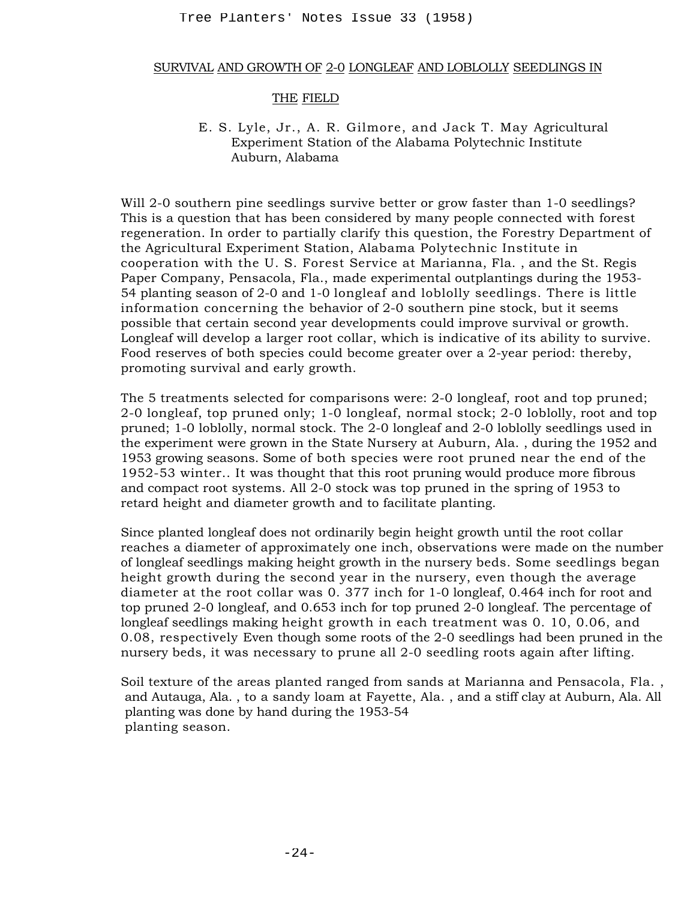## SURVIVAL AND GROWTH OF 2-0 LONGLEAF AND LOBLOLLY SEEDLINGS IN

## THE FIELD

# E. S. Lyle, Jr., A. R. Gilmore, and Jack T. May Agricultural Experiment Station of the Alabama Polytechnic Institute Auburn, Alabama

Will 2-0 southern pine seedlings survive better or grow faster than 1-0 seedlings? This is a question that has been considered by many people connected with forest regeneration. In order to partially clarify this question, the Forestry Department of the Agricultural Experiment Station, Alabama Polytechnic Institute in cooperation with the U. S. Forest Service at Marianna, Fla. , and the St. Regis Paper Company, Pensacola, Fla., made experimental outplantings during the 1953- 54 planting season of 2-0 and 1-0 longleaf and loblolly seedlings. There is little information concerning the behavior of 2-0 southern pine stock, but it seems possible that certain second year developments could improve survival or growth. Longleaf will develop a larger root collar, which is indicative of its ability to survive. Food reserves of both species could become greater over a 2-year period: thereby, promoting survival and early growth. Tree Planters' Notes Issue 33 (1958)<br>
YIVAL AND GROWTH OF 2-0 LONGLEAF AND LOB<br>
THE FIELD<br>
E. S. Lyle, Jr., A. R. Gilmore, and Jack<br>
Awburn, Alabama Poi<br>
Awburn, Alabama Poi Awburn, Alabama Poi<br>
Auburn, Alabama Poi Awburn

The 5 treatments selected for comparisons were: 2-0 longleaf, root and top pruned; 2-0 longleaf, top pruned only; 1-0 longleaf, normal stock; 2-0 loblolly, root and top pruned; 1-0 loblolly, normal stock. The 2-0 longleaf and 2-0 loblolly seedlings used in the experiment were grown in the State Nursery at Auburn, Ala. , during the 1952 and 1953 growing seasons. Some of both species were root pruned near the end of the 1952-53 winter.. It was thought that this root pruning would produce more fibrous and compact root systems. All 2-0 stock was top pruned in the spring of 1953 to retard height and diameter growth and to facilitate planting.

Since planted longleaf does not ordinarily begin height growth until the root collar reaches a diameter of approximately one inch, observations were made on the number of longleaf seedlings making height growth in the nursery beds. Some seedlings began height growth during the second year in the nursery, even though the average diameter at the root collar was 0. 377 inch for 1-0 longleaf, 0.464 inch for root and top pruned 2-0 longleaf, and 0.653 inch for top pruned 2-0 longleaf. The percentage of longleaf seedlings making height growth in each treatment was 0. 10, 0.06, and 0.08, respectively Even though some roots of the 2-0 seedlings had been pruned in the nursery beds, it was necessary to prune all 2-0 seedling roots again after lifting.

Soil texture of the areas planted ranged from sands at Marianna and Pensacola, Fla. , and Autauga, Ala. , to a sandy loam at Fayette, Ala. , and a stiff clay at Auburn, Ala. All planting was done by hand during the 1953-54 planting season.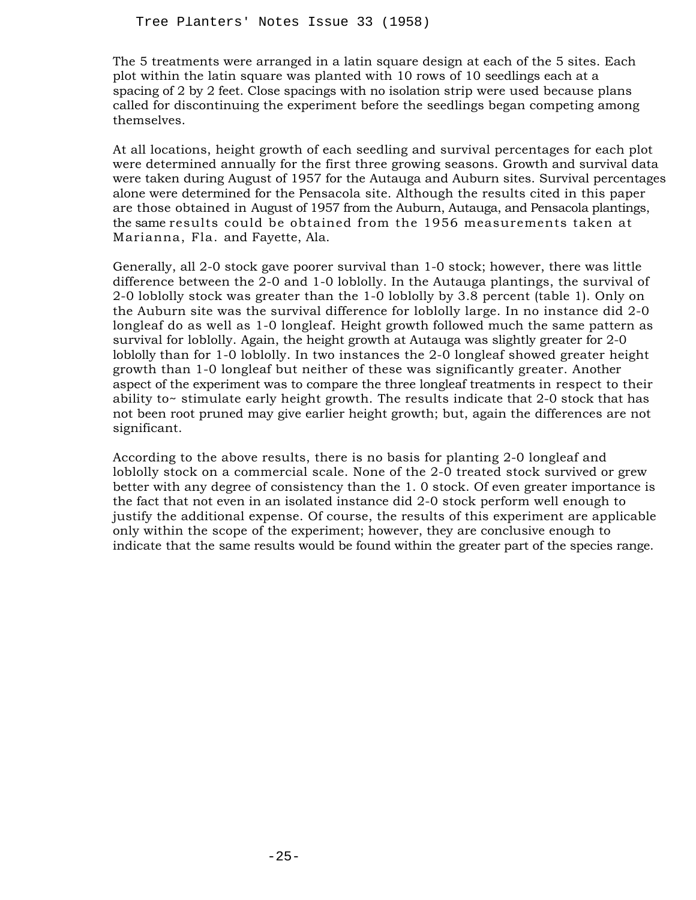The 5 treatments were arranged in a latin square design at each of the 5 sites. Each plot within the latin square was planted with 10 rows of 10 seedlings each at a spacing of 2 by 2 feet. Close spacings with no isolation strip were used because plans called for discontinuing the experiment before the seedlings began competing among themselves.

At all locations, height growth of each seedling and survival percentages for each plot were determined annually for the first three growing seasons. Growth and survival data were taken during August of 1957 for the Autauga and Auburn sites. Survival percentages alone were determined for the Pensacola site. Although the results cited in this paper are those obtained in August of 1957 from the Auburn, Autauga, and Pensacola plantings, the same results could be obtained from the 1956 measurements taken at Marianna, Fla. and Fayette, Ala.

Generally, all 2-0 stock gave poorer survival than 1-0 stock; however, there was little difference between the 2-0 and 1-0 loblolly. In the Autauga plantings, the survival of 2-0 loblolly stock was greater than the 1-0 loblolly by 3.8 percent (table 1). Only on the Auburn site was the survival difference for loblolly large. In no instance did 2-0 longleaf do as well as 1-0 longleaf. Height growth followed much the same pattern as survival for loblolly. Again, the height growth at Autauga was slightly greater for 2-0 loblolly than for 1-0 loblolly. In two instances the 2-0 longleaf showed greater height growth than 1-0 longleaf but neither of these was significantly greater. Another aspect of the experiment was to compare the three longleaf treatments in respect to their ability to~ stimulate early height growth. The results indicate that  $2$ -0 stock that has not been root pruned may give earlier height growth; but, again the differences are not significant. Tree Planters' Notes Issue 33 (1958)<br>
5 treatments were arranged in a latin square d<br>
within the latin square was planted with 10 ro<br>
within the latin square was planted with 10 rol in the latin<br>
and the discontinuing the

According to the above results, there is no basis for planting 2-0 longleaf and loblolly stock on a commercial scale. None of the 2-0 treated stock survived or grew better with any degree of consistency than the 1. 0 stock. Of even greater importance is the fact that not even in an isolated instance did 2-0 stock perform well enough to justify the additional expense. Of course, the results of this experiment are applicable only within the scope of the experiment; however, they are conclusive enough to indicate that the same results would be found within the greater part of the species range.